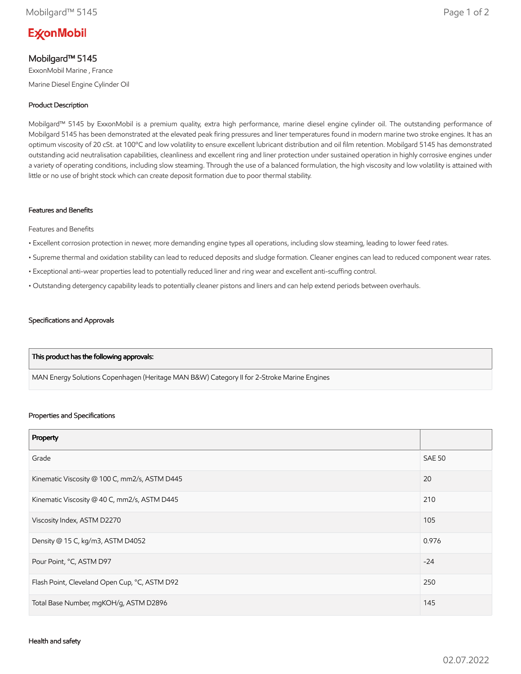# **ExconMobil**

# Mobilgard™ 5145

ExxonMobil Marine , France Marine Diesel Engine Cylinder Oil

### Product Description

Mobilgard™ 5145 by ExxonMobil is a premium quality, extra high performance, marine diesel engine cylinder oil. The outstanding performance of Mobilgard 5145 has been demonstrated at the elevated peak firing pressures and liner temperatures found in modern marine two stroke engines. It has an optimum viscosity of 20 cSt. at 100ºC and low volatility to ensure excellent lubricant distribution and oil film retention. Mobilgard 5145 has demonstrated outstanding acid neutralisation capabilities, cleanliness and excellent ring and liner protection under sustained operation in highly corrosive engines under a variety of operating conditions, including slow steaming. Through the use of a balanced formulation, the high viscosity and low volatility is attained with little or no use of bright stock which can create deposit formation due to poor thermal stability.

#### Features and Benefits

Features and Benefits

- Excellent corrosion protection in newer, more demanding engine types all operations, including slow steaming, leading to lower feed rates.
- Supreme thermal and oxidation stability can lead to reduced deposits and sludge formation. Cleaner engines can lead to reduced component wear rates.
- Exceptional anti-wear properties lead to potentially reduced liner and ring wear and excellent anti-scuffing control.
- Outstanding detergency capability leads to potentially cleaner pistons and liners and can help extend periods between overhauls.

#### Specifications and Approvals

#### This product has the following approvals:

MAN Energy Solutions Copenhagen (Heritage MAN B&W) Category II for 2-Stroke Marine Engines

#### Properties and Specifications

| Property                                      |               |
|-----------------------------------------------|---------------|
| Grade                                         | <b>SAE 50</b> |
| Kinematic Viscosity @ 100 C, mm2/s, ASTM D445 | 20            |
| Kinematic Viscosity @ 40 C, mm2/s, ASTM D445  | 210           |
| Viscosity Index, ASTM D2270                   | 105           |
| Density @ 15 C, kg/m3, ASTM D4052             | 0.976         |
| Pour Point, °C, ASTM D97                      | $-24$         |
| Flash Point, Cleveland Open Cup, °C, ASTM D92 | 250           |
| Total Base Number, mgKOH/g, ASTM D2896        | 145           |